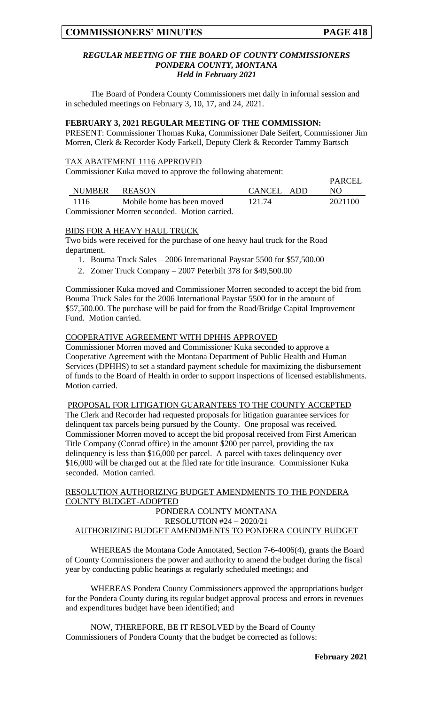$\overline{P}$ 

## *REGULAR MEETING OF THE BOARD OF COUNTY COMMISSIONERS PONDERA COUNTY, MONTANA Held in February 2021*

The Board of Pondera County Commissioners met daily in informal session and in scheduled meetings on February 3, 10, 17, and 24, 2021.

#### **FEBRUARY 3, 2021 REGULAR MEETING OF THE COMMISSION:**

PRESENT: Commissioner Thomas Kuka, Commissioner Dale Seifert, Commissioner Jim Morren, Clerk & Recorder Kody Farkell, Deputy Clerk & Recorder Tammy Bartsch

## TAX ABATEMENT 1116 APPROVED

Commissioner Kuka moved to approve the following abatement:

|          |                                               |            | <b>FANCEL</b> |
|----------|-----------------------------------------------|------------|---------------|
|          | NUMBER REASON                                 | CANCEL ADD | NO.           |
| - 1116 - | Mobile home has been moved                    | 121.74     | 2021100       |
|          | Commissioner Morren seconded. Motion carried. |            |               |

## BIDS FOR A HEAVY HAUL TRUCK

Two bids were received for the purchase of one heavy haul truck for the Road department.

- 1. Bouma Truck Sales 2006 International Paystar 5500 for \$57,500.00
- 2. Zomer Truck Company 2007 Peterbilt 378 for \$49,500.00

Commissioner Kuka moved and Commissioner Morren seconded to accept the bid from Bouma Truck Sales for the 2006 International Paystar 5500 for in the amount of \$57,500.00. The purchase will be paid for from the Road/Bridge Capital Improvement Fund. Motion carried.

## COOPERATIVE AGREEMENT WITH DPHHS APPROVED

Commissioner Morren moved and Commissioner Kuka seconded to approve a Cooperative Agreement with the Montana Department of Public Health and Human Services (DPHHS) to set a standard payment schedule for maximizing the disbursement of funds to the Board of Health in order to support inspections of licensed establishments. Motion carried.

PROPOSAL FOR LITIGATION GUARANTEES TO THE COUNTY ACCEPTED

The Clerk and Recorder had requested proposals for litigation guarantee services for delinquent tax parcels being pursued by the County. One proposal was received. Commissioner Morren moved to accept the bid proposal received from First American Title Company (Conrad office) in the amount \$200 per parcel, providing the tax delinquency is less than \$16,000 per parcel. A parcel with taxes delinquency over \$16,000 will be charged out at the filed rate for title insurance. Commissioner Kuka seconded. Motion carried.

## RESOLUTION AUTHORIZING BUDGET AMENDMENTS TO THE PONDERA COUNTY BUDGET-ADOPTED PONDERA COUNTY MONTANA RESOLUTION #24 – 2020/21 AUTHORIZING BUDGET AMENDMENTS TO PONDERA COUNTY BUDGET

WHEREAS the Montana Code Annotated, Section 7-6-4006(4), grants the Board of County Commissioners the power and authority to amend the budget during the fiscal year by conducting public hearings at regularly scheduled meetings; and

WHEREAS Pondera County Commissioners approved the appropriations budget for the Pondera County during its regular budget approval process and errors in revenues and expenditures budget have been identified; and

NOW, THEREFORE, BE IT RESOLVED by the Board of County Commissioners of Pondera County that the budget be corrected as follows: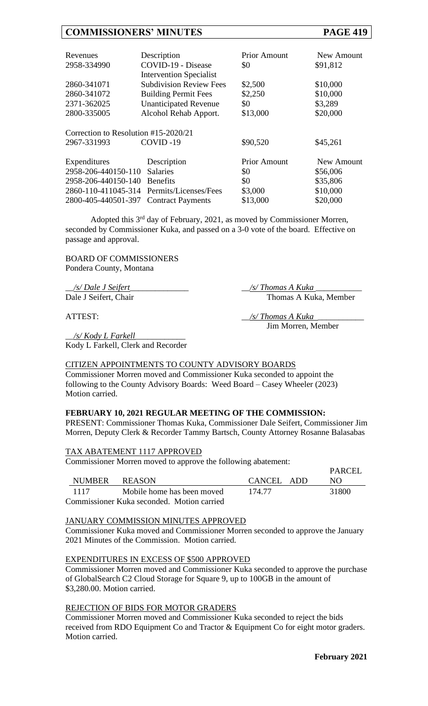## **COMMISSIONERS' MINUTES PAGE 419**

| Revenues                             | Description                    | <b>Prior Amount</b> | New Amount |
|--------------------------------------|--------------------------------|---------------------|------------|
| 2958-334990                          | COVID-19 - Disease             | \$0                 | \$91,812   |
|                                      | <b>Intervention Specialist</b> |                     |            |
| 2860-341071                          | <b>Subdivision Review Fees</b> | \$2,500             | \$10,000   |
| 2860-341072                          | <b>Building Permit Fees</b>    | \$2,250             | \$10,000   |
| 2371-362025                          | <b>Unanticipated Revenue</b>   | \$0                 | \$3,289    |
| 2800-335005                          | Alcohol Rehab Apport.          | \$13,000            | \$20,000   |
|                                      |                                |                     |            |
| Correction to Resolution #15-2020/21 |                                |                     |            |
| 2967-331993                          | COVID-19                       | \$90,520            | \$45,261   |
|                                      |                                |                     |            |
| Expenditures                         | Description                    | <b>Prior Amount</b> | New Amount |
| 2958-206-440150-110                  | <b>Salaries</b>                | \$0                 | \$56,006   |
| 2958-206-440150-140                  | <b>Benefits</b>                | \$0                 | \$35,806   |
| 2860-110-411045-314                  | Permits/Licenses/Fees          | \$3,000             | \$10,000   |
| 2800-405-440501-397                  | <b>Contract Payments</b>       | \$13,000            | \$20,000   |

Adopted this 3rd day of February, 2021, as moved by Commissioner Morren, seconded by Commissioner Kuka, and passed on a 3-0 vote of the board. Effective on passage and approval.

BOARD OF COMMISSIONERS Pondera County, Montana

\_\_*/s/ Dale J Seifert*\_\_\_\_\_\_\_\_\_\_\_\_\_\_ \_\_*/s/ Thomas A Kuka* \_\_\_\_\_\_\_\_\_\_\_

Dale J Seifert, Chair Thomas A Kuka, Member

ATTEST: \_\_*/s/ Thomas A Kuka* \_\_\_\_\_\_\_\_\_\_\_

Jim Morren, Member

\_\_*/s/ Kody L Farkell*\_\_\_\_\_\_\_\_\_\_\_\_ Kody L Farkell, Clerk and Recorder

## CITIZEN APPOINTMENTS TO COUNTY ADVISORY BOARDS

Commissioner Morren moved and Commissioner Kuka seconded to appoint the following to the County Advisory Boards: Weed Board - Casey Wheeler (2023) Motion carried.

## **FEBRUARY 10, 2021 REGULAR MEETING OF THE COMMISSION:**

PRESENT: Commissioner Thomas Kuka, Commissioner Dale Seifert, Commissioner Jim Morren, Deputy Clerk & Recorder Tammy Bartsch, County Attorney Rosanne Balasabas

## TAX ABATEMENT 1117 APPROVED

Commissioner Morren moved to approve the following abatement:

| NUMBER REASON |                                            | CANCEL ADD | <b>PARCEL</b><br>NO. |
|---------------|--------------------------------------------|------------|----------------------|
| 1117          | Mobile home has been moved                 | 174.77     | 31800                |
|               | Commissioner Kuka seconded. Motion carried |            |                      |

## JANUARY COMMISSION MINUTES APPROVED

Commissioner Kuka moved and Commissioner Morren seconded to approve the January 2021 Minutes of the Commission. Motion carried.

## EXPENDITURES IN EXCESS OF \$500 APPROVED

Commissioner Morren moved and Commissioner Kuka seconded to approve the purchase of GlobalSearch C2 Cloud Storage for Square 9, up to 100GB in the amount of \$3,280.00. Motion carried.

## REJECTION OF BIDS FOR MOTOR GRADERS

Commissioner Morren moved and Commissioner Kuka seconded to reject the bids received from RDO Equipment Co and Tractor & Equipment Co for eight motor graders. Motion carried.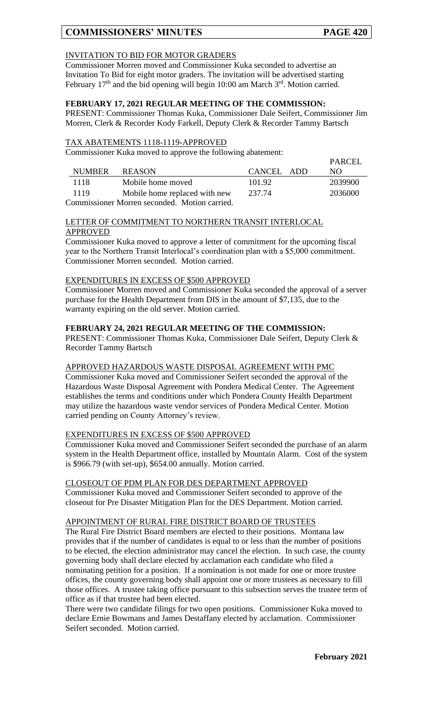# **COMMISSIONERS' MINUTES PAGE 420**

## INVITATION TO BID FOR MOTOR GRADERS

Commissioner Morren moved and Commissioner Kuka seconded to advertise an Invitation To Bid for eight motor graders. The invitation will be advertised starting February  $17<sup>th</sup>$  and the bid opening will begin 10:00 am March  $3<sup>rd</sup>$ . Motion carried.

## **FEBRUARY 17, 2021 REGULAR MEETING OF THE COMMISSION:**

PRESENT: Commissioner Thomas Kuka, Commissioner Dale Seifert, Commissioner Jim Morren, Clerk & Recorder Kody Farkell, Deputy Clerk & Recorder Tammy Bartsch

## TAX ABATEMENTS 1118-1119-APPROVED

Commissioner Kuka moved to approve the following abatement:

|        |                                               |            | PARCEL  |
|--------|-----------------------------------------------|------------|---------|
| NUMBER | <b>REASON</b>                                 | CANCEL ADD | NO.     |
| 1118   | Mobile home moved                             | 101.92     | 2039900 |
| 1119   | Mobile home replaced with new                 | 237.74     | 2036000 |
|        | Commissioner Morren seconded. Motion carried. |            |         |

LETTER OF COMMITMENT TO NORTHERN TRANSIT INTERLOCAL

## APPROVED

Commissioner Kuka moved to approve a letter of commitment for the upcoming fiscal year to the Northern Transit Interlocal's coordination plan with a \$5,000 commitment. Commissioner Morren seconded. Motion carried.

## EXPENDITURES IN EXCESS OF \$500 APPROVED

Commissioner Morren moved and Commissioner Kuka seconded the approval of a server purchase for the Health Department from DIS in the amount of \$7,135, due to the warranty expiring on the old server. Motion carried.

## **FEBRUARY 24, 2021 REGULAR MEETING OF THE COMMISSION:**

PRESENT: Commissioner Thomas Kuka, Commissioner Dale Seifert, Deputy Clerk & Recorder Tammy Bartsch

## APPROVED HAZARDOUS WASTE DISPOSAL AGREEMENT WITH PMC

Commissioner Kuka moved and Commissioner Seifert seconded the approval of the Hazardous Waste Disposal Agreement with Pondera Medical Center. The Agreement establishes the terms and conditions under which Pondera County Health Department may utilize the hazardous waste vendor services of Pondera Medical Center. Motion carried pending on County Attorney's review.

## EXPENDITURES IN EXCESS OF \$500 APPROVED

Commissioner Kuka moved and Commissioner Seifert seconded the purchase of an alarm system in the Health Department office, installed by Mountain Alarm. Cost of the system is \$966.79 (with set-up), \$654.00 annually. Motion carried.

CLOSEOUT OF PDM PLAN FOR DES DEPARTMENT APPROVED Commissioner Kuka moved and Commissioner Seifert seconded to approve of the closeout for Pre Disaster Mitigation Plan for the DES Department. Motion carried.

# APPOINTMENT OF RURAL FIRE DISTRICT BOARD OF TRUSTEES

The Rural Fire District Board members are elected to their positions. Montana law provides that if the number of candidates is equal to or less than the number of positions to be elected, the election administrator may cancel the election. In such case, the county governing body shall declare elected by acclamation each candidate who filed a nominating petition for a position. If a nomination is not made for one or more trustee offices, the county governing body shall appoint one or more trustees as necessary to fill those offices. A trustee taking office pursuant to this subsection serves the trustee term of office as if that trustee had been elected.

There were two candidate filings for two open positions. Commissioner Kuka moved to declare Ernie Bowmans and James Destaffany elected by acclamation. Commissioner Seifert seconded. Motion carried.